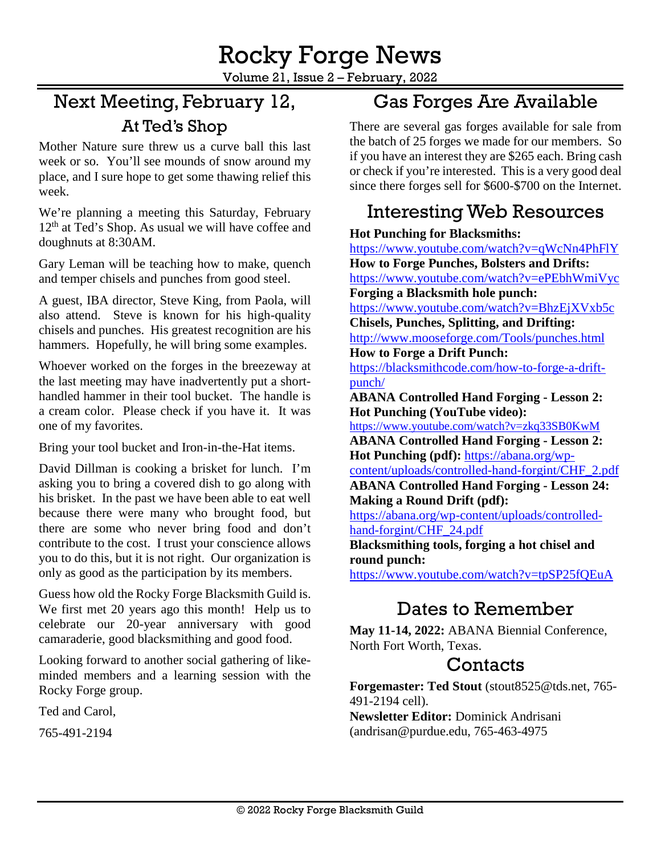Volume 21, Issue 2 – February, 2022

# Next Meeting, February 12, At Ted's Shop

Mother Nature sure threw us a curve ball this last week or so. You'll see mounds of snow around my place, and I sure hope to get some thawing relief this week.

We're planning a meeting this Saturday, February 12<sup>th</sup> at Ted's Shop. As usual we will have coffee and doughnuts at 8:30AM.

Gary Leman will be teaching how to make, quench and temper chisels and punches from good steel.

A guest, IBA director, Steve King, from Paola, will also attend. Steve is known for his high-quality chisels and punches. His greatest recognition are his hammers. Hopefully, he will bring some examples.

Whoever worked on the forges in the breezeway at the last meeting may have inadvertently put a shorthandled hammer in their tool bucket. The handle is a cream color. Please check if you have it. It was one of my favorites.

Bring your tool bucket and Iron-in-the-Hat items.

David Dillman is cooking a brisket for lunch. I'm asking you to bring a covered dish to go along with his brisket. In the past we have been able to eat well because there were many who brought food, but there are some who never bring food and don't contribute to the cost. I trust your conscience allows you to do this, but it is not right. Our organization is only as good as the participation by its members.

Guess how old the Rocky Forge Blacksmith Guild is. We first met 20 years ago this month! Help us to celebrate our 20-year anniversary with good camaraderie, good blacksmithing and good food.

Looking forward to another social gathering of likeminded members and a learning session with the Rocky Forge group.

Ted and Carol,

[765-491-2194](tel:765-491-2194)

### Gas Forges Are Available

There are several gas forges available for sale from the batch of 25 forges we made for our members. So if you have an interest they are \$265 each. Bring cash or check if you're interested. This is a very good deal since there forges sell for \$600-\$700 on the Internet.

### Interesting Web Resources

#### **Hot Punching for Blacksmiths:**

<https://www.youtube.com/watch?v=qWcNn4PhFlY> **How to Forge Punches, Bolsters and Drifts:**  <https://www.youtube.com/watch?v=ePEbhWmiVyc> **Forging a Blacksmith hole punch:** 

<https://www.youtube.com/watch?v=BhzEjXVxb5c> **Chisels, Punches, Splitting, and Drifting:**

<http://www.mooseforge.com/Tools/punches.html> **How to Forge a Drift Punch:**

[https://blacksmithcode.com/how-to-forge-a-drift](https://blacksmithcode.com/how-to-forge-a-drift-punch/)[punch/](https://blacksmithcode.com/how-to-forge-a-drift-punch/)

**ABANA Controlled Hand Forging - Lesson 2: Hot Punching (YouTube video):** 

<https://www.youtube.com/watch?v=zkq33SB0KwM> **ABANA Controlled Hand Forging - Lesson 2: Hot Punching (pdf):** [https://abana.org/wp-](https://abana.org/wp-content/uploads/controlled-hand-forgint/CHF_2.pdf)

[content/uploads/controlled-hand-forgint/CHF\\_2.pdf](https://abana.org/wp-content/uploads/controlled-hand-forgint/CHF_2.pdf) **ABANA Controlled Hand Forging - Lesson 24:** 

**Making a Round Drift (pdf):** 

[https://abana.org/wp-content/uploads/controlled](https://abana.org/wp-content/uploads/controlled-hand-forgint/CHF_24.pdf)[hand-forgint/CHF\\_24.pdf](https://abana.org/wp-content/uploads/controlled-hand-forgint/CHF_24.pdf)

**Blacksmithing tools, forging a hot chisel and round punch:**

<https://www.youtube.com/watch?v=tpSP25fQEuA>

# Dates to Remember

**May 11-14, 2022:** ABANA Biennial Conference, North Fort Worth, Texas.

### **Contacts**

**Forgemaster: Ted Stout** [\(stout8525@tds.net,](mailto:stout8525@tds.net) 765- 491-2194 cell).

**Newsletter Editor:** Dominick Andrisani [\(andrisan@purdue.edu,](mailto:andrisan@purdue.edu) 765-463-4975